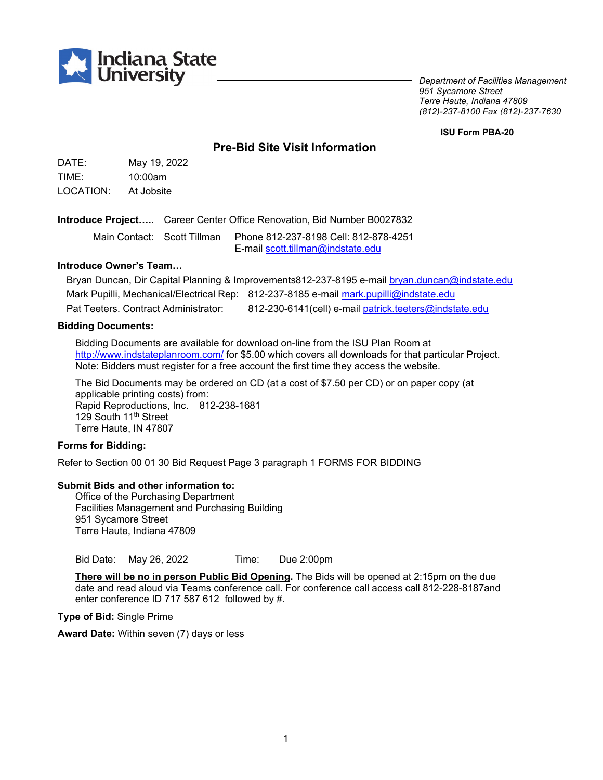

*Department of Facilities Management 951 Sycamore Street Terre Haute, Indiana 47809 (812)-237-8100 Fax (812)-237-7630*

**ISU Form PBA-20**

# **Pre-Bid Site Visit Information**

DATE: May 19, 2022 TIME: 10:00am LOCATION: At Jobsite

**Introduce Project…..** Career Center Office Renovation, Bid Number B0027832

Main Contact: Scott Tillman Phone 812-237-8198 Cell: 812-878-4251 E-mail [scott.tillman@indstate.edu](mailto:scott.tillman@indstate.edu)

# **Introduce Owner's Team…**

Bryan Duncan, Dir Capital Planning & Improvements812-237-8195 e-mail [bryan.duncan@indstate.edu](mailto:bryan.duncan@indstate.edu) Mark Pupilli, Mechanical/Electrical Rep: 812-237-8185 e-mail mark.pupilli@indstate.edu Pat Teeters. Contract Administrator: 812-230-6141(cell) e-mai[l patrick.teeters@indstate.edu](mailto:patrick.teeters@indstate.edu)

#### **Bidding Documents:**

Bidding Documents are available for download on-line from the ISU Plan Room at <http://www.indstateplanroom.com/> for \$5.00 which covers all downloads for that particular Project. Note: Bidders must register for a free account the first time they access the website.

The Bid Documents may be ordered on CD (at a cost of \$7.50 per CD) or on paper copy (at applicable printing costs) from: Rapid Reproductions, Inc. 812-238-1681 129 South 11<sup>th</sup> Street Terre Haute, IN 47807

### **Forms for Bidding:**

Refer to Section 00 01 30 Bid Request Page 3 paragraph 1 FORMS FOR BIDDING

#### **Submit Bids and other information to:**

Office of the Purchasing Department Facilities Management and Purchasing Building 951 Sycamore Street Terre Haute, Indiana 47809

Bid Date: May 26, 2022 Time: Due 2:00pm

**There will be no in person Public Bid Opening.** The Bids will be opened at 2:15pm on the due date and read aloud via Teams conference call. For conference call access call 812-228-8187and enter conference ID 717 587 612 followed by #.

**Type of Bid:** Single Prime

**Award Date:** Within seven (7) days or less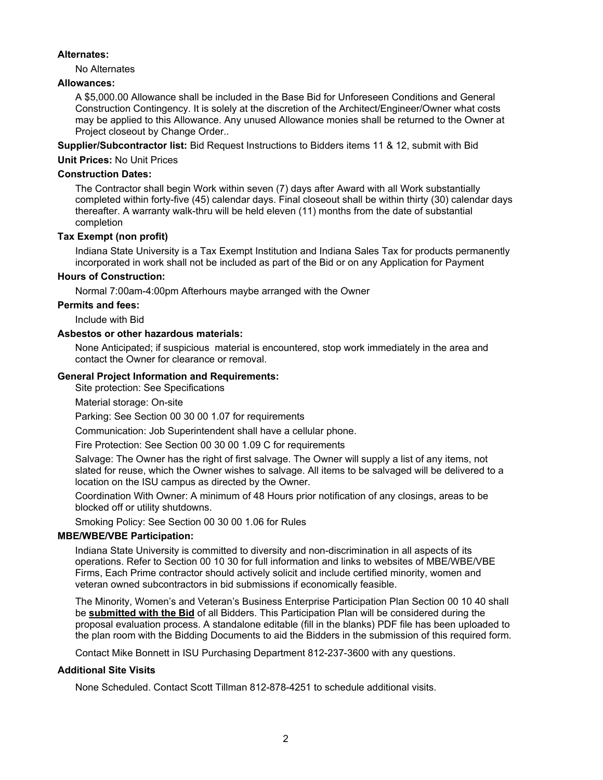### **Alternates:**

No Alternates

## **Allowances:**

A \$5,000.00 Allowance shall be included in the Base Bid for Unforeseen Conditions and General Construction Contingency. It is solely at the discretion of the Architect/Engineer/Owner what costs may be applied to this Allowance. Any unused Allowance monies shall be returned to the Owner at Project closeout by Change Order..

**Supplier/Subcontractor list:** Bid Request Instructions to Bidders items 11 & 12, submit with Bid

## **Unit Prices:** No Unit Prices

## **Construction Dates:**

The Contractor shall begin Work within seven (7) days after Award with all Work substantially completed within forty-five (45) calendar days. Final closeout shall be within thirty (30) calendar days thereafter. A warranty walk-thru will be held eleven (11) months from the date of substantial completion

## **Tax Exempt (non profit)**

Indiana State University is a Tax Exempt Institution and Indiana Sales Tax for products permanently incorporated in work shall not be included as part of the Bid or on any Application for Payment

## **Hours of Construction:**

Normal 7:00am-4:00pm Afterhours maybe arranged with the Owner

### **Permits and fees:**

Include with Bid

## **Asbestos or other hazardous materials:**

None Anticipated; if suspicious material is encountered, stop work immediately in the area and contact the Owner for clearance or removal.

## **General Project Information and Requirements:**

Site protection: See Specifications

Material storage: On-site

Parking: See Section 00 30 00 1.07 for requirements

Communication: Job Superintendent shall have a cellular phone.

Fire Protection: See Section 00 30 00 1.09 C for requirements

Salvage: The Owner has the right of first salvage. The Owner will supply a list of any items, not slated for reuse, which the Owner wishes to salvage. All items to be salvaged will be delivered to a location on the ISU campus as directed by the Owner.

Coordination With Owner: A minimum of 48 Hours prior notification of any closings, areas to be blocked off or utility shutdowns.

Smoking Policy: See Section 00 30 00 1.06 for Rules

## **MBE/WBE/VBE Participation:**

Indiana State University is committed to diversity and non-discrimination in all aspects of its operations. Refer to Section 00 10 30 for full information and links to websites of MBE/WBE/VBE Firms, Each Prime contractor should actively solicit and include certified minority, women and veteran owned subcontractors in bid submissions if economically feasible.

The Minority, Women's and Veteran's Business Enterprise Participation Plan Section 00 10 40 shall be **submitted with the Bid** of all Bidders. This Participation Plan will be considered during the proposal evaluation process. A standalone editable (fill in the blanks) PDF file has been uploaded to the plan room with the Bidding Documents to aid the Bidders in the submission of this required form.

Contact Mike Bonnett in ISU Purchasing Department 812-237-3600 with any questions.

### **Additional Site Visits**

None Scheduled. Contact Scott Tillman 812-878-4251 to schedule additional visits.